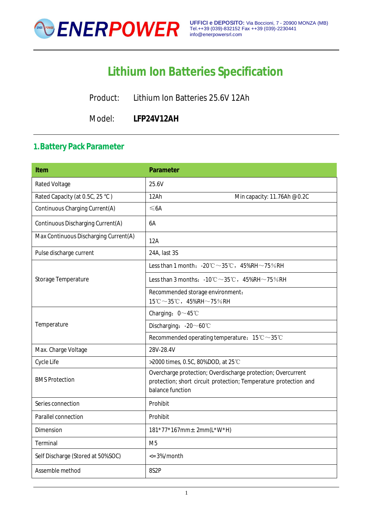

# **Lithium Ion Batteries Specification**

Product: Lithium Ion Batteries 25.6V 12Ah

Model: **LFP24V12AH**

# **1.Battery Pack Parameter**

| <b>Item</b>                           | <b>Parameter</b>                                                                                                                                     |
|---------------------------------------|------------------------------------------------------------------------------------------------------------------------------------------------------|
| <b>Rated Voltage</b>                  | 25.6V                                                                                                                                                |
| Rated Capacity (at 0.5C, 25 °C)       | 12Ah<br>Min capacity: 11.76Ah @0.2C                                                                                                                  |
| Continuous Charging Current(A)        | ≤6A                                                                                                                                                  |
| Continuous Discharging Current(A)     | 6A                                                                                                                                                   |
| Max Continuous Discharging Current(A) | 12A                                                                                                                                                  |
| Pulse discharge current               | 24A, last 3S                                                                                                                                         |
| Storage Temperature                   | Less than 1 month: $-20^{\circ}\text{C} \sim 35^{\circ}\text{C}$ , $45\%RH \sim 75\%RH$                                                              |
|                                       | Less than 3 months: $-10^{\circ}\text{C} \sim 35^{\circ}\text{C}$ , $45\%$ RH $\sim$ 75% RH                                                          |
|                                       | Recommended storage environment:                                                                                                                     |
|                                       | $15^{\circ}\text{C} \sim 35^{\circ}\text{C}$ , $45\%$ RH $\sim$ 75%RH                                                                                |
|                                       | Charging: $0 \sim 45^{\circ}$ C                                                                                                                      |
| Temperature                           | Discharging: $-20 \sim 60^{\circ}$ C                                                                                                                 |
|                                       | Recommended operating temperature: $15^{\circ}\text{C} \sim 35^{\circ}\text{C}$                                                                      |
| Max. Charge Voltage                   | 28V-28.4V                                                                                                                                            |
| Cycle Life                            | >2000 times, 0.5C, 80%DOD, at 25 °C                                                                                                                  |
| <b>BMS Protection</b>                 | Overcharge protection; Overdischarge protection; Overcurrent<br>protection; short circuit protection; Temperature protection and<br>balance function |
| Series connection                     | Prohibit                                                                                                                                             |
| Parallel connection                   | Prohibit                                                                                                                                             |
| <b>Dimension</b>                      | $181*77*167$ mm $\pm$ 2mm(L*W*H)                                                                                                                     |
| Terminal                              | M <sub>5</sub>                                                                                                                                       |
| Self Discharge (Stored at 50%SOC)     | $\epsilon$ = 3%/month                                                                                                                                |
| Assemble method                       | 8S <sub>2</sub> P                                                                                                                                    |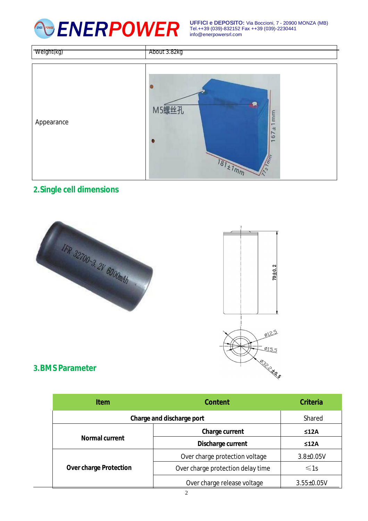

**UFFICI e DEPOSITO:** Via Boccioni, 7 - 20900 MONZA (MB) Tel.++39 (039)-832152 Fax ++39 (039)-2230441 [info@enerpowersrl.com](mailto:info@enerpowersrl.com)

| Weight(kg) | About 3.82kg                                                                                                              |
|------------|---------------------------------------------------------------------------------------------------------------------------|
| Appearance | Ŗ<br>M5螺丝孔<br>mm<br>$\overline{a}$<br>$\ddot{ }$<br>67<br>$\overline{r}$<br>$z \overline{7}$ mm<br>$\frac{1}{181 + 1}$ mm |

# **2.Single cell dimensions**





#### **3.BMS Parameter**

| <b>Item</b>                   | <b>Content</b>                    | <b>Criteria</b>  |
|-------------------------------|-----------------------------------|------------------|
| Charge and discharge port     |                                   | Shared           |
| <b>Normal current</b>         | Charge current                    | ≤12A             |
|                               | Discharge current                 | ≤12A             |
| <b>Over charge Protection</b> | Over charge protection voltage    | $3.8 \pm 0.05V$  |
|                               | Over charge protection delay time | $\leq 1s$        |
|                               | Over charge release voltage       | $3.55 \pm 0.05V$ |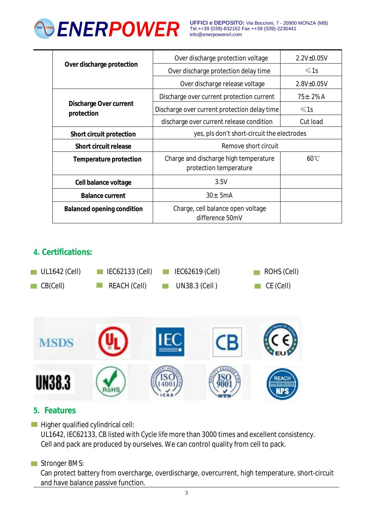

**UFFICI e DEPOSITO:** Via Boccioni, 7 - 20900 MONZA (MB) Tel.++39 (039)-832152 Fax ++39 (039)-2230441 [info@enerpowersrl.com](mailto:info@enerpowersrl.com)

| Over discharge protection                   | Over discharge protection voltage                               | $2.2V_{\pm}0.05V$ |
|---------------------------------------------|-----------------------------------------------------------------|-------------------|
|                                             | Over discharge protection delay time                            | $\leq 1s$         |
|                                             | Over discharge release voltage                                  | 2.8V±0.05V        |
| <b>Discharge Over current</b><br>protection | Discharge over current protection current                       | $75 + 2\%$ A      |
|                                             | Discharge over current protection delay time                    | $\leq 1s$         |
|                                             | discharge over current release condition                        | Cut load          |
| <b>Short circuit protection</b>             | yes, pls don't short-circuit the electrodes                     |                   |
| <b>Short circuit release</b>                | Remove short circuit                                            |                   |
| <b>Temperature protection</b>               | Charge and discharge high temperature<br>protection temperature | $60^{\circ}$ C    |
| Cell balance voltage                        | 3.5V                                                            |                   |
| <b>Balance current</b>                      | $30 \pm 5$ mA                                                   |                   |
| <b>Balanced opening condition</b>           | Charge, cell balance open voltage<br>difference 50mV            |                   |

# **4. Certifications:**





## **5. Features**

 $\blacksquare$  Higher qualified cylindrical cell:

UL1642, IEC62133, CB listed with Cycle life more than 3000 times and excellent consistency. Cell and pack are produced by ourselves. We can control quality from cell to pack.

#### Stronger BMS:

Can protect battery from overcharge, overdischarge, overcurrent, high temperature, short-circuit and have balance passive function.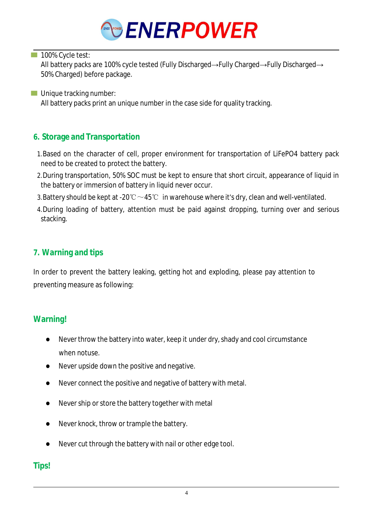

#### 100% Cycle test:

All battery packs are 100% cycle tested (Fully Discharged→Fully Charged→Fully Discharged→ 50% Charged) before package.

**Unique tracking number:** All battery packs print an unique number in the case side for quality tracking.

# **6. Storage and Transportation**

- 1.Based on the character of cell, proper environment for transportation of LiFePO4 battery pack need to be created to protect the battery.
- 2.During transportation, 50% SOC must be kept to ensure that short circuit, appearance of liquid in the battery or immersion of battery in liquid never occur.
- 3. Battery should be kept at -20℃  $\sim$  45℃ in warehouse where it's dry, clean and well-ventilated.
- 4.During loading of battery, attention must be paid against dropping, turning over and serious stacking.

# **7. Warning and tips**

In order to prevent the battery leaking, getting hot and exploding, please pay attention to preventing measure as following:

## **Warning!**

- Never throw the battery into water, keep it under dry, shady and cool circumstance when notuse.
- Never upside down the positive and negative.
- Never connect the positive and negative of battery with metal.
- Never ship or store the battery together with metal
- Never knock, throw or trample the battery.
- Never cut through the battery with nail or other edge tool.

# **Tips!**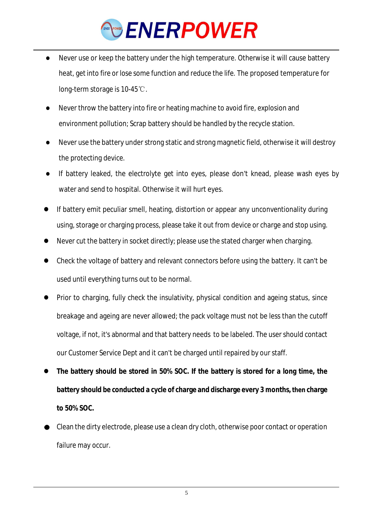# ENERPOWER

- Never use or keep the battery under the high temperature. Otherwise it will cause battery heat, getinto fire or lose some function and reduce the life. The proposed temperature for long-term storage is 10-45℃.
- Never throw the battery into fire or heating machine to avoid fire, explosion and environment pollution; Scrap battery should be handled by the recycle station.
- Never use the battery under strong static and strong magnetic field, otherwise it will destroy the protecting device.
- If battery leaked, the electrolyte get into eyes, please don't knead, please wash eyes by water and send to hospital. Otherwise it will hurt eyes.
- If battery emit peculiar smell, heating, distortion or appear any unconventionality during using, storage or charging process, please take it out from device or charge and stop using.
- Never cut the battery in socket directly; please use the stated charger when charging.
- Check the voltage of battery and relevant connectors before using the battery. It can't be used until everything turns out to be normal.
- Prior to charging, fully check the insulativity, physical condition and ageing status, since breakage and ageing are never allowed; the pack voltage must not be less than the cutoff voltage, if not, it's abnormal and that battery needs to be labeled. The user should contact our Customer Service Dept and it can't be charged until repaired by ourstaff.
- **The battery should be stored in 50% SOC. If the battery is stored for a long time, the battery should be conducted a cycle of charge and discharge every 3 months, then charge to 50% SOC.**
- Clean the dirty electrode, please use a clean dry cloth, otherwise poor contact or operation failure may occur.